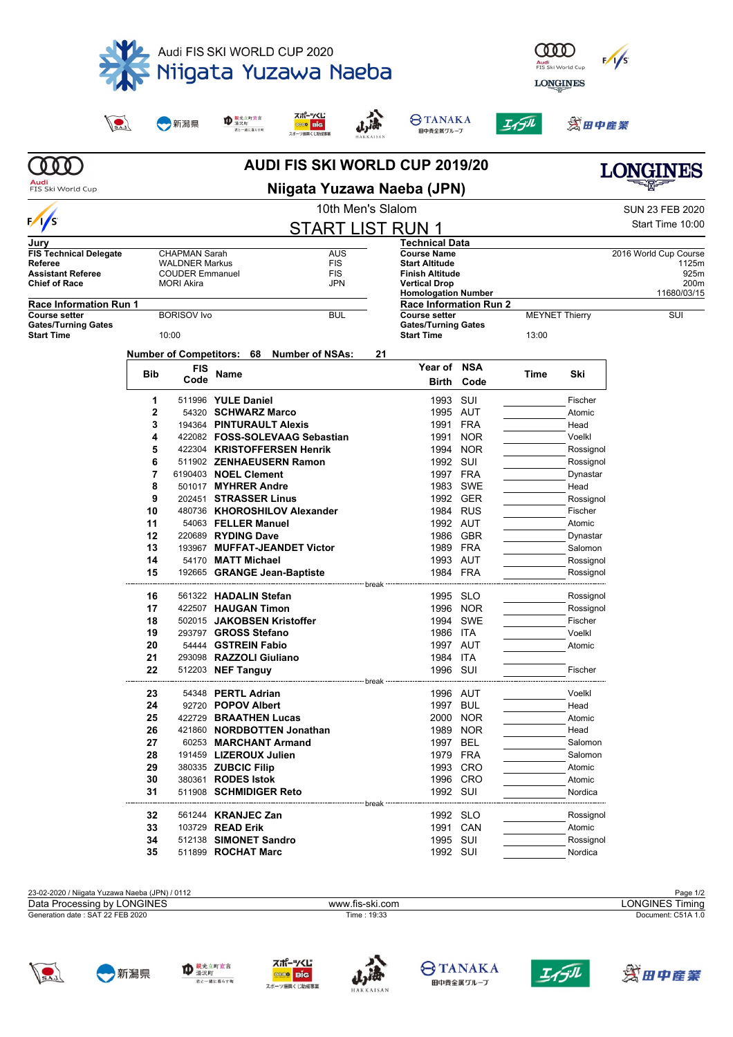

| 23-02-2020 / Niigata Yuzawa Naeba (JPN) / 0112 |                 | Page 1/2           |
|------------------------------------------------|-----------------|--------------------|
| Data Processing by LONGINES                    | www.fis-ski.com | LONGINES Timina    |
| Generation date: SAT 22 FEB 2020               | Time: 19:33     | Document: C51A 1.0 |
|                                                |                 |                    |

**34** 512138 **SIMONET Sandro** 1995 SUI Rossignol **35** 511899 **ROCHAT Marc** 1992 SUI Nordica